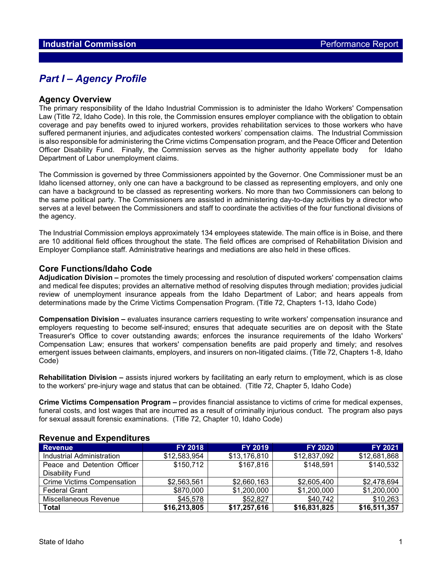# *Part I – Agency Profile*

### **Agency Overview**

The primary responsibility of the Idaho Industrial Commission is to administer the Idaho Workers' Compensation Law (Title 72, Idaho Code). In this role, the Commission ensures employer compliance with the obligation to obtain coverage and pay benefits owed to injured workers, provides rehabilitation services to those workers who have suffered permanent injuries, and adjudicates contested workers' compensation claims. The Industrial Commission is also responsible for administering the Crime victims Compensation program, and the Peace Officer and Detention Officer Disability Fund. Finally, the Commission serves as the higher authority appellate body for Idaho Department of Labor unemployment claims.

The Commission is governed by three Commissioners appointed by the Governor. One Commissioner must be an Idaho licensed attorney, only one can have a background to be classed as representing employers, and only one can have a background to be classed as representing workers. No more than two Commissioners can belong to the same political party. The Commissioners are assisted in administering day-to-day activities by a director who serves at a level between the Commissioners and staff to coordinate the activities of the four functional divisions of the agency.

The Industrial Commission employs approximately 134 employees statewide. The main office is in Boise, and there are 10 additional field offices throughout the state. The field offices are comprised of Rehabilitation Division and Employer Compliance staff. Administrative hearings and mediations are also held in these offices.

### **Core Functions/Idaho Code**

**Adjudication Division –** promotes the timely processing and resolution of disputed workers' compensation claims and medical fee disputes; provides an alternative method of resolving disputes through mediation; provides judicial review of unemployment insurance appeals from the Idaho Department of Labor; and hears appeals from determinations made by the Crime Victims Compensation Program. (Title 72, Chapters 1-13, Idaho Code)

**Compensation Division –** evaluates insurance carriers requesting to write workers' compensation insurance and employers requesting to become self-insured; ensures that adequate securities are on deposit with the State Treasurer's Office to cover outstanding awards; enforces the insurance requirements of the Idaho Workers' Compensation Law; ensures that workers' compensation benefits are paid properly and timely; and resolves emergent issues between claimants, employers, and insurers on non-litigated claims. (Title 72, Chapters 1-8, Idaho Code)

**Rehabilitation Division –** assists injured workers by facilitating an early return to employment, which is as close to the workers' pre-injury wage and status that can be obtained. (Title 72, Chapter 5, Idaho Code)

**Crime Victims Compensation Program –** provides financial assistance to victims of crime for medical expenses, funeral costs, and lost wages that are incurred as a result of criminally injurious conduct. The program also pays for sexual assault forensic examinations. (Title 72, Chapter 10, Idaho Code)

| <b>Revenue</b>                    | <b>FY 2018</b> | <b>FY 2019</b> | <b>FY 2020</b> | <b>FY 2021</b> |  |  |  |  |  |
|-----------------------------------|----------------|----------------|----------------|----------------|--|--|--|--|--|
| Industrial Administration         | \$12,583,954   | \$13,176,810   | \$12,837,092   | \$12,681,868   |  |  |  |  |  |
| Peace and Detention Officer       | \$150,712      | \$167,816      | \$148,591      | \$140,532      |  |  |  |  |  |
| Disability Fund                   |                |                |                |                |  |  |  |  |  |
| <b>Crime Victims Compensation</b> | \$2,563,561    | \$2,660,163    | \$2,605,400    | \$2,478,694    |  |  |  |  |  |
| <b>Federal Grant</b>              | \$870,000      | \$1,200,000    | \$1,200,000    | \$1,200,000    |  |  |  |  |  |
| Miscellaneous Revenue             | \$45,578       | \$52,827       | \$40,742       | \$10,263       |  |  |  |  |  |
| <b>Total</b>                      | \$16,213,805   | \$17,257,616   | \$16,831,825   | \$16,511,357   |  |  |  |  |  |

### **Revenue and Expenditures**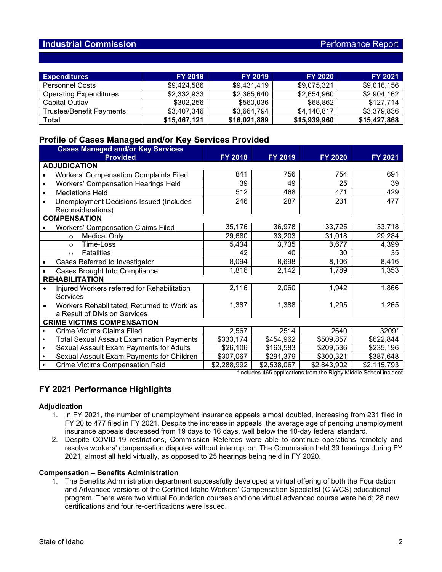## **Industrial Commission Performance Report**

| <b>Expenditures</b>           | <b>FY 2018</b> | <b>FY 2019</b> | <b>FY 2020</b> | <b>FY 2021</b> |
|-------------------------------|----------------|----------------|----------------|----------------|
| <b>Personnel Costs</b>        | \$9.424.586    | \$9.431.419    | \$9.075.321    | \$9,016,156    |
| <b>Operating Expenditures</b> | \$2,332,933    | \$2,365,640    | \$2,654,960    | \$2,904,162    |
| Capital Outlay                | \$302.256      | \$560,036      | \$68,862       | \$127,714      |
| Trustee/Benefit Payments      | \$3,407,346    | \$3,664,794    | \$4,140,817    | \$3,379,836    |
| <b>Total</b>                  | \$15,467,121   | \$16,021,889   | \$15,939,960   | \$15,427,868   |

## **Profile of Cases Managed and/or Key Services Provided**

|           | <b>Cases Managed and/or Key Services</b><br><b>Provided</b> | FY 2018     | FY 2019     | <b>FY 2020</b> | <b>FY 2021</b> |  |  |  |  |  |
|-----------|-------------------------------------------------------------|-------------|-------------|----------------|----------------|--|--|--|--|--|
|           | <b>ADJUDICATION</b>                                         |             |             |                |                |  |  |  |  |  |
| $\bullet$ | <b>Workers' Compensation Complaints Filed</b>               | 841         | 756         | 754            | 691            |  |  |  |  |  |
| $\bullet$ | <b>Workers' Compensation Hearings Held</b>                  | 39          | 49          | 25             | 39             |  |  |  |  |  |
| $\bullet$ | <b>Mediations Held</b>                                      | 512         | 468         | 471            | 429            |  |  |  |  |  |
|           | <b>Unemployment Decisions Issued (Includes</b>              | 246         | 287         | 231            | 477            |  |  |  |  |  |
|           | Reconsiderations)                                           |             |             |                |                |  |  |  |  |  |
|           | <b>COMPENSATION</b>                                         |             |             |                |                |  |  |  |  |  |
|           | <b>Workers' Compensation Claims Filed</b>                   | 35,176      | 36,978      | 33,725         | 33,718         |  |  |  |  |  |
|           | <b>Medical Only</b><br>$\circ$                              | 29,680      | 33,203      | 31,018         | 29,284         |  |  |  |  |  |
|           | Time-Loss<br>$\Omega$                                       | 5,434       | 3,735       | 3,677          | 4,399          |  |  |  |  |  |
|           | <b>Fatalities</b><br>$\circ$                                | 42          | 40          | 30             | 35             |  |  |  |  |  |
|           | Cases Referred to Investigator                              | 8,094       | 8,698       | 8,106          | 8,416          |  |  |  |  |  |
|           | Cases Brought Into Compliance                               | 1,816       | 2,142       | 1,789          | 1,353          |  |  |  |  |  |
|           | <b>REHABILITATION</b>                                       |             |             |                |                |  |  |  |  |  |
|           | Injured Workers referred for Rehabilitation                 | 2,116       | 2,060       | 1,942          | 1,866          |  |  |  |  |  |
|           | Services                                                    |             |             |                |                |  |  |  |  |  |
| $\bullet$ | Workers Rehabilitated, Returned to Work as                  | 1,387       | 1,388       | 1,295          | 1,265          |  |  |  |  |  |
|           | a Result of Division Services                               |             |             |                |                |  |  |  |  |  |
|           | <b>CRIME VICTIMS COMPENSATION</b>                           |             |             |                |                |  |  |  |  |  |
|           | <b>Crime Victims Claims Filed</b>                           | 2,567       | 2514        | 2640           | 3209*          |  |  |  |  |  |
| $\bullet$ | <b>Total Sexual Assault Examination Payments</b>            | \$333,174   | \$454,962   | \$509,857      | \$622,844      |  |  |  |  |  |
| $\bullet$ | Sexual Assault Exam Payments for Adults                     | \$26,106    | \$163,583   | \$209,536      | \$235,196      |  |  |  |  |  |
| $\bullet$ | Sexual Assault Exam Payments for Children                   | \$307,067   | \$291,379   | \$300,321      | \$387,648      |  |  |  |  |  |
| $\bullet$ | <b>Crime Victims Compensation Paid</b>                      | \$2,288,992 | \$2,538,067 | \$2,843,902    | \$2,115,793    |  |  |  |  |  |

\*Includes 465 applications from the Rigby Middle School incident

# **FY 2021 Performance Highlights**

#### **Adjudication**

- 1. In FY 2021, the number of unemployment insurance appeals almost doubled, increasing from 231 filed in FY 20 to 477 filed in FY 2021. Despite the increase in appeals, the average age of pending unemployment insurance appeals decreased from 19 days to 16 days, well below the 40-day federal standard.
- 2. Despite COVID-19 restrictions, Commission Referees were able to continue operations remotely and resolve workers' compensation disputes without interruption. The Commission held 39 hearings during FY 2021, almost all held virtually, as opposed to 25 hearings being held in FY 2020.

#### **Compensation – Benefits Administration**

1. The Benefits Administration department successfully developed a virtual offering of both the Foundation and Advanced versions of the Certified Idaho Workers' Compensation Specialist (CIWCS) educational program. There were two virtual Foundation courses and one virtual advanced course were held; 28 new certifications and four re-certifications were issued.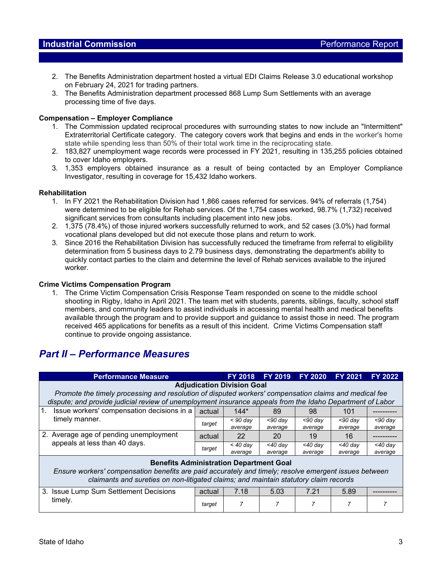### **Industrial Commission Performance Report**

- 2. The Benefits Administration department hosted a virtual EDI Claims Release 3.0 educational workshop on February 24, 2021 for trading partners.
- 3. The Benefits Administration department processed 868 Lump Sum Settlements with an average processing time of five days.

### **Compensation – Employer Compliance**

- 1. The Commission updated reciprocal procedures with surrounding states to now include an "Intermittent" Extraterritorial Certificate category. The category covers work that begins and ends in the worker's home state while spending less than 50% of their total work time in the reciprocating state.
- 2. 183,827 unemployment wage records were processed in FY 2021, resulting in 135,255 policies obtained to cover Idaho employers.
- 3. 1,353 employers obtained insurance as a result of being contacted by an Employer Compliance Investigator, resulting in coverage for 15,432 Idaho workers.

#### **Rehabilitation**

- 1. In FY 2021 the Rehabilitation Division had 1,866 cases referred for services. 94% of referrals (1,754) were determined to be eligible for Rehab services. Of the 1,754 cases worked, 98.7% (1,732) received significant services from consultants including placement into new jobs.
- 2. 1,375 (78.4%) of those injured workers successfully returned to work, and 52 cases (3.0%) had formal vocational plans developed but did not execute those plans and return to work.
- 3. Since 2016 the Rehabilitation Division has successfully reduced the timeframe from referral to eligibility determination from 5 business days to 2.79 business days, demonstrating the department's ability to quickly contact parties to the claim and determine the level of Rehab services available to the injured worker.

#### **Crime Victims Compensation Program**

1. The Crime Victim Compensation Crisis Response Team responded on scene to the middle school shooting in Rigby, Idaho in April 2021. The team met with students, parents, siblings, faculty, school staff members, and community leaders to assist individuals in accessing mental health and medical benefits available through the program and to provide support and guidance to assist those in need. The program received 465 applications for benefits as a result of this incident. Crime Victims Compensation staff continue to provide ongoing assistance.

# *Part II – Performance Measures*

|                                                                                                                                                                                                                                                 | <b>Performance Measure</b>                                                                                                                                                                                                                              |        | <b>FY 2018</b>        | <b>FY 2019</b>        | <b>FY 2020</b>        | <b>FY 2021</b>        | <b>FY 2022</b>        |  |
|-------------------------------------------------------------------------------------------------------------------------------------------------------------------------------------------------------------------------------------------------|---------------------------------------------------------------------------------------------------------------------------------------------------------------------------------------------------------------------------------------------------------|--------|-----------------------|-----------------------|-----------------------|-----------------------|-----------------------|--|
|                                                                                                                                                                                                                                                 | <b>Adjudication Division Goal</b><br>Promote the timely processing and resolution of disputed workers' compensation claims and medical fee<br>dispute; and provide judicial review of unemployment insurance appeals from the Idaho Department of Labor |        |                       |                       |                       |                       |                       |  |
| $\overline{1}$ .<br>Issue workers' compensation decisions in a                                                                                                                                                                                  | actual                                                                                                                                                                                                                                                  | $144*$ | 89                    | 98                    | 101                   |                       |                       |  |
|                                                                                                                                                                                                                                                 | timely manner.                                                                                                                                                                                                                                          | target | $< 90$ dav<br>average | $<$ 90 dav<br>average | $<$ 90 dav<br>average | $<$ 90 day<br>average | $<$ 90 dav<br>average |  |
|                                                                                                                                                                                                                                                 | 2. Average age of pending unemployment<br>appeals at less than 40 days.                                                                                                                                                                                 | actual | 22                    | 20                    | 19                    | 16                    |                       |  |
|                                                                                                                                                                                                                                                 |                                                                                                                                                                                                                                                         | target | $<$ 40 day<br>average | $<$ 40 dav<br>average | $<$ 40 dav<br>average | $<$ 40 dav<br>average | $<$ 40 day<br>average |  |
| <b>Benefits Administration Department Goal</b><br>Ensure workers' compensation benefits are paid accurately and timely; resolve emergent issues between<br>claimants and sureties on non-litigated claims; and maintain statutory claim records |                                                                                                                                                                                                                                                         |        |                       |                       |                       |                       |                       |  |
| 3.                                                                                                                                                                                                                                              | <b>Issue Lump Sum Settlement Decisions</b><br>timely.                                                                                                                                                                                                   | actual | 7.18                  | 5.03                  | 7.21                  | 5.89                  |                       |  |
|                                                                                                                                                                                                                                                 |                                                                                                                                                                                                                                                         | target | 7                     |                       | 7                     | 7                     |                       |  |